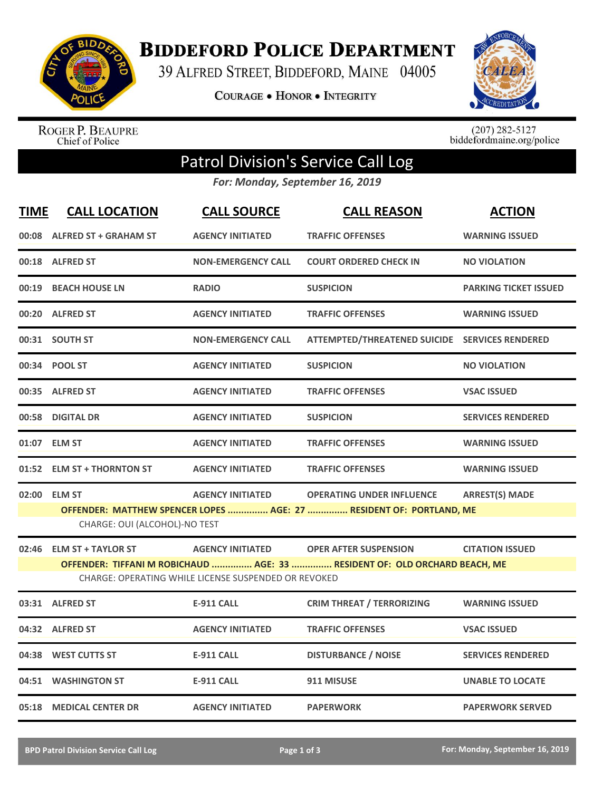

**BIDDEFORD POLICE DEPARTMENT** 

39 ALFRED STREET, BIDDEFORD, MAINE 04005

**COURAGE . HONOR . INTEGRITY** 



ROGER P. BEAUPRE<br>Chief of Police

 $(207)$  282-5127<br>biddefordmaine.org/police

## Patrol Division's Service Call Log

*For: Monday, September 16, 2019*

| <b>TIME</b> | <b>CALL LOCATION</b>                                                                                                                                                                                          | <b>CALL SOURCE</b>                                                              | <b>CALL REASON</b>                                                                                         | <b>ACTION</b>                |  |  |
|-------------|---------------------------------------------------------------------------------------------------------------------------------------------------------------------------------------------------------------|---------------------------------------------------------------------------------|------------------------------------------------------------------------------------------------------------|------------------------------|--|--|
|             | 00:08 ALFRED ST + GRAHAM ST                                                                                                                                                                                   | <b>AGENCY INITIATED</b>                                                         | <b>TRAFFIC OFFENSES</b>                                                                                    | <b>WARNING ISSUED</b>        |  |  |
|             | 00:18 ALFRED ST                                                                                                                                                                                               | <b>NON-EMERGENCY CALL</b>                                                       | <b>COURT ORDERED CHECK IN</b>                                                                              | <b>NO VIOLATION</b>          |  |  |
|             | 00:19 BEACH HOUSE LN                                                                                                                                                                                          | <b>RADIO</b>                                                                    | <b>SUSPICION</b>                                                                                           | <b>PARKING TICKET ISSUED</b> |  |  |
|             | 00:20 ALFRED ST                                                                                                                                                                                               | <b>AGENCY INITIATED</b>                                                         | <b>TRAFFIC OFFENSES</b>                                                                                    | <b>WARNING ISSUED</b>        |  |  |
|             | 00:31 SOUTH ST                                                                                                                                                                                                | <b>NON-EMERGENCY CALL</b>                                                       | ATTEMPTED/THREATENED SUICIDE SERVICES RENDERED                                                             |                              |  |  |
|             | 00:34 POOL ST                                                                                                                                                                                                 | <b>AGENCY INITIATED</b>                                                         | <b>SUSPICION</b>                                                                                           | <b>NO VIOLATION</b>          |  |  |
|             | 00:35 ALFRED ST                                                                                                                                                                                               | <b>AGENCY INITIATED</b>                                                         | <b>TRAFFIC OFFENSES</b>                                                                                    | <b>VSAC ISSUED</b>           |  |  |
|             | 00:58 DIGITAL DR                                                                                                                                                                                              | <b>AGENCY INITIATED</b>                                                         | <b>SUSPICION</b>                                                                                           | <b>SERVICES RENDERED</b>     |  |  |
|             | 01:07 ELM ST                                                                                                                                                                                                  | <b>AGENCY INITIATED</b>                                                         | <b>TRAFFIC OFFENSES</b>                                                                                    | <b>WARNING ISSUED</b>        |  |  |
|             | 01:52 ELM ST + THORNTON ST                                                                                                                                                                                    | <b>AGENCY INITIATED</b>                                                         | <b>TRAFFIC OFFENSES</b>                                                                                    | <b>WARNING ISSUED</b>        |  |  |
| 02:00       | <b>ARREST(S) MADE</b><br><b>ELM ST</b><br><b>AGENCY INITIATED</b><br><b>OPERATING UNDER INFLUENCE</b><br>OFFENDER: MATTHEW SPENCER LOPES  AGE: 27  RESIDENT OF: PORTLAND, ME<br>CHARGE: OUI (ALCOHOL)-NO TEST |                                                                                 |                                                                                                            |                              |  |  |
| 02:46       | <b>ELM ST + TAYLOR ST</b>                                                                                                                                                                                     | <b>AGENCY INITIATED</b><br>CHARGE: OPERATING WHILE LICENSE SUSPENDED OR REVOKED | <b>OPER AFTER SUSPENSION</b><br>OFFENDER: TIFFANI M ROBICHAUD  AGE: 33  RESIDENT OF: OLD ORCHARD BEACH, ME | <b>CITATION ISSUED</b>       |  |  |
|             | 03:31 ALFRED ST                                                                                                                                                                                               | <b>E-911 CALL</b>                                                               | <b>CRIM THREAT / TERRORIZING</b>                                                                           | <b>WARNING ISSUED</b>        |  |  |
|             | 04:32 ALFRED ST                                                                                                                                                                                               | <b>AGENCY INITIATED</b>                                                         | <b>TRAFFIC OFFENSES</b>                                                                                    | <b>VSAC ISSUED</b>           |  |  |
|             | 04:38 WEST CUTTS ST                                                                                                                                                                                           | <b>E-911 CALL</b>                                                               | <b>DISTURBANCE / NOISE</b>                                                                                 | <b>SERVICES RENDERED</b>     |  |  |
|             | 04:51 WASHINGTON ST                                                                                                                                                                                           | <b>E-911 CALL</b>                                                               | 911 MISUSE                                                                                                 | <b>UNABLE TO LOCATE</b>      |  |  |
|             | 05:18 MEDICAL CENTER DR                                                                                                                                                                                       | <b>AGENCY INITIATED</b>                                                         | <b>PAPERWORK</b>                                                                                           | <b>PAPERWORK SERVED</b>      |  |  |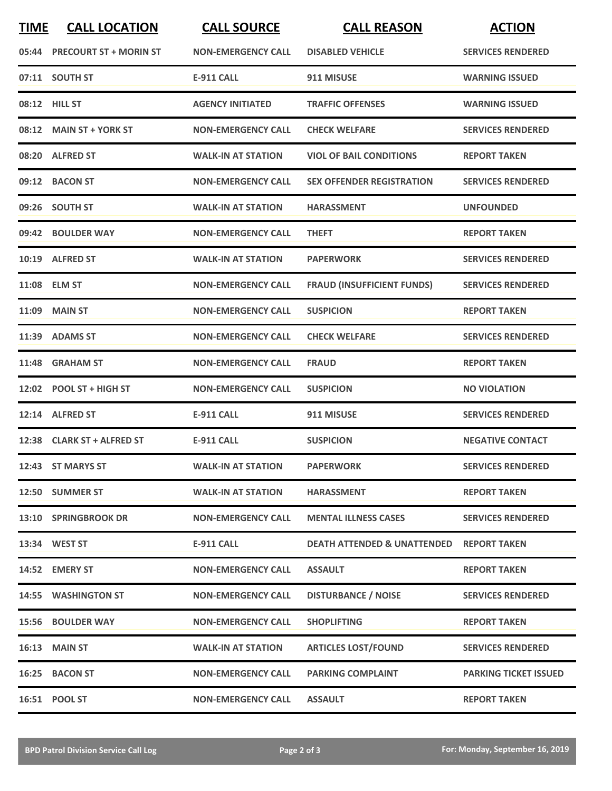| <b>TIME</b> | <b>CALL LOCATION</b>         | <b>CALL SOURCE</b>        | <b>CALL REASON</b>                     | <b>ACTION</b>                |
|-------------|------------------------------|---------------------------|----------------------------------------|------------------------------|
|             | 05:44 PRECOURT ST + MORIN ST | <b>NON-EMERGENCY CALL</b> | <b>DISABLED VEHICLE</b>                | <b>SERVICES RENDERED</b>     |
|             | 07:11 SOUTH ST               | <b>E-911 CALL</b>         | 911 MISUSE                             | <b>WARNING ISSUED</b>        |
|             | 08:12 HILL ST                | <b>AGENCY INITIATED</b>   | <b>TRAFFIC OFFENSES</b>                | <b>WARNING ISSUED</b>        |
|             | 08:12 MAIN ST + YORK ST      | <b>NON-EMERGENCY CALL</b> | <b>CHECK WELFARE</b>                   | <b>SERVICES RENDERED</b>     |
|             | 08:20 ALFRED ST              | <b>WALK-IN AT STATION</b> | <b>VIOL OF BAIL CONDITIONS</b>         | <b>REPORT TAKEN</b>          |
|             | 09:12 BACON ST               | <b>NON-EMERGENCY CALL</b> | <b>SEX OFFENDER REGISTRATION</b>       | <b>SERVICES RENDERED</b>     |
|             | 09:26 SOUTH ST               | <b>WALK-IN AT STATION</b> | <b>HARASSMENT</b>                      | <b>UNFOUNDED</b>             |
|             | 09:42 BOULDER WAY            | <b>NON-EMERGENCY CALL</b> | <b>THEFT</b>                           | <b>REPORT TAKEN</b>          |
|             | 10:19 ALFRED ST              | <b>WALK-IN AT STATION</b> | <b>PAPERWORK</b>                       | <b>SERVICES RENDERED</b>     |
|             | 11:08 ELM ST                 | <b>NON-EMERGENCY CALL</b> | <b>FRAUD (INSUFFICIENT FUNDS)</b>      | <b>SERVICES RENDERED</b>     |
|             | 11:09 MAIN ST                | <b>NON-EMERGENCY CALL</b> | <b>SUSPICION</b>                       | <b>REPORT TAKEN</b>          |
|             | 11:39 ADAMS ST               | <b>NON-EMERGENCY CALL</b> | <b>CHECK WELFARE</b>                   | <b>SERVICES RENDERED</b>     |
|             | 11:48 GRAHAM ST              | <b>NON-EMERGENCY CALL</b> | <b>FRAUD</b>                           | <b>REPORT TAKEN</b>          |
|             | 12:02 POOL ST + HIGH ST      | <b>NON-EMERGENCY CALL</b> | <b>SUSPICION</b>                       | <b>NO VIOLATION</b>          |
|             | 12:14 ALFRED ST              | <b>E-911 CALL</b>         | 911 MISUSE                             | <b>SERVICES RENDERED</b>     |
|             | 12:38 CLARK ST + ALFRED ST   | <b>E-911 CALL</b>         | <b>SUSPICION</b>                       | <b>NEGATIVE CONTACT</b>      |
|             | 12:43 ST MARYS ST            | <b>WALK-IN AT STATION</b> | <b>PAPERWORK</b>                       | <b>SERVICES RENDERED</b>     |
|             | 12:50 SUMMER ST              | <b>WALK-IN AT STATION</b> | <b>HARASSMENT</b>                      | <b>REPORT TAKEN</b>          |
|             | 13:10 SPRINGBROOK DR         | <b>NON-EMERGENCY CALL</b> | <b>MENTAL ILLNESS CASES</b>            | <b>SERVICES RENDERED</b>     |
|             | 13:34 WEST ST                | E-911 CALL                | <b>DEATH ATTENDED &amp; UNATTENDED</b> | <b>REPORT TAKEN</b>          |
|             | 14:52 EMERY ST               | <b>NON-EMERGENCY CALL</b> | <b>ASSAULT</b>                         | <b>REPORT TAKEN</b>          |
|             | 14:55 WASHINGTON ST          | <b>NON-EMERGENCY CALL</b> | <b>DISTURBANCE / NOISE</b>             | <b>SERVICES RENDERED</b>     |
|             | 15:56 BOULDER WAY            | <b>NON-EMERGENCY CALL</b> | <b>SHOPLIFTING</b>                     | <b>REPORT TAKEN</b>          |
|             | <b>16:13 MAIN ST</b>         | <b>WALK-IN AT STATION</b> | <b>ARTICLES LOST/FOUND</b>             | <b>SERVICES RENDERED</b>     |
|             | 16:25 BACON ST               | <b>NON-EMERGENCY CALL</b> | <b>PARKING COMPLAINT</b>               | <b>PARKING TICKET ISSUED</b> |
|             | 16:51 POOL ST                | <b>NON-EMERGENCY CALL</b> | <b>ASSAULT</b>                         | <b>REPORT TAKEN</b>          |